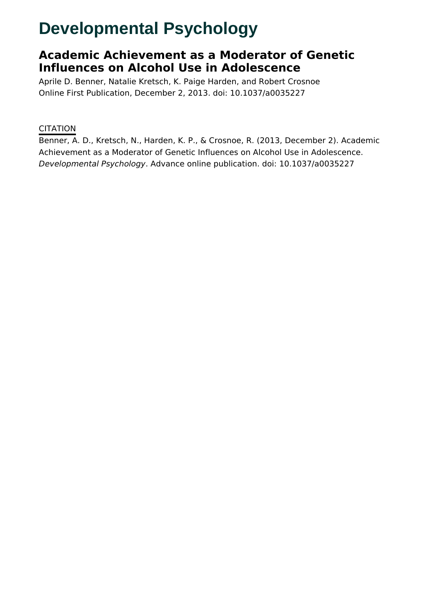# **Developmental Psychology**

# **Academic Achievement as a Moderator of Genetic Influences on Alcohol Use in Adolescence**

Aprile D. Benner, Natalie Kretsch, K. Paige Harden, and Robert Crosnoe Online First Publication, December 2, 2013. doi: 10.1037/a0035227

# **CITATION**

Benner, A. D., Kretsch, N., Harden, K. P., & Crosnoe, R. (2013, December 2). Academic Achievement as a Moderator of Genetic Influences on Alcohol Use in Adolescence. Developmental Psychology. Advance online publication. doi: 10.1037/a0035227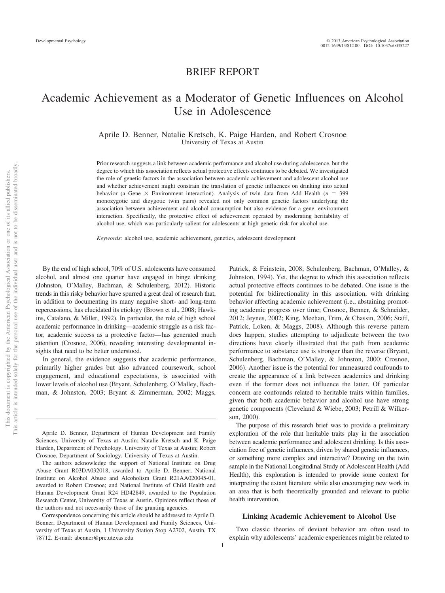# BRIEF REPORT

# Academic Achievement as a Moderator of Genetic Influences on Alcohol Use in Adolescence

Aprile D. Benner, Natalie Kretsch, K. Paige Harden, and Robert Crosnoe University of Texas at Austin

Prior research suggests a link between academic performance and alcohol use during adolescence, but the degree to which this association reflects actual protective effects continues to be debated. We investigated the role of genetic factors in the association between academic achievement and adolescent alcohol use and whether achievement might constrain the translation of genetic influences on drinking into actual behavior (a Gene  $\times$  Environment interaction). Analysis of twin data from Add Health ( $n = 399$ monozygotic and dizygotic twin pairs) revealed not only common genetic factors underlying the association between achievement and alcohol consumption but also evidence for a gene– environment interaction. Specifically, the protective effect of achievement operated by moderating heritability of alcohol use, which was particularly salient for adolescents at high genetic risk for alcohol use.

*Keywords:* alcohol use, academic achievement, genetics, adolescent development

By the end of high school, 70% of U.S. adolescents have consumed alcohol, and almost one quarter have engaged in binge drinking (Johnston, O'Malley, Bachman, & Schulenberg, 2012). Historic trends in this risky behavior have spurred a great deal of research that, in addition to documenting its many negative short- and long-term repercussions, has elucidated its etiology (Brown et al., 2008; Hawkins, Catalano, & Miller, 1992). In particular, the role of high school academic performance in drinking—academic struggle as a risk factor, academic success as a protective factor— has generated much attention (Crosnoe, 2006), revealing interesting developmental insights that need to be better understood.

In general, the evidence suggests that academic performance, primarily higher grades but also advanced coursework, school engagement, and educational expectations, is associated with lower levels of alcohol use (Bryant, Schulenberg, O'Malley, Bachman, & Johnston, 2003; Bryant & Zimmerman, 2002; Maggs,

Aprile D. Benner, Department of Human Development and Family Sciences, University of Texas at Austin; Natalie Kretsch and K. Paige Harden, Department of Psychology, University of Texas at Austin; Robert Crosnoe, Department of Sociology, University of Texas at Austin.

The authors acknowledge the support of National Institute on Drug Abuse Grant R03DA032018, awarded to Aprile D. Benner; National Institute on Alcohol Abuse and Alcoholism Grant R21AA020045-01, awarded to Robert Crosnoe; and National Institute of Child Health and Human Development Grant R24 HD42849, awarded to the Population Research Center, University of Texas at Austin. Opinions reflect those of the authors and not necessarily those of the granting agencies.

Correspondence concerning this article should be addressed to Aprile D. Benner, Department of Human Development and Family Sciences, University of Texas at Austin, 1 University Station Stop A2702, Austin, TX 78712. E-mail: abenner@prc.utexas.edu

Patrick, & Feinstein, 2008; Schulenberg, Bachman, O'Malley, & Johnston, 1994). Yet, the degree to which this association reflects actual protective effects continues to be debated. One issue is the potential for bidirectionality in this association, with drinking behavior affecting academic achievement (i.e., abstaining promoting academic progress over time; Crosnoe, Benner, & Schneider, 2012; Jeynes, 2002; King, Meehan, Trim, & Chassin, 2006; Staff, Patrick, Loken, & Maggs, 2008). Although this reverse pattern does happen, studies attempting to adjudicate between the two directions have clearly illustrated that the path from academic performance to substance use is stronger than the reverse (Bryant, Schulenberg, Bachman, O'Malley, & Johnston, 2000; Crosnoe, 2006). Another issue is the potential for unmeasured confounds to create the appearance of a link between academics and drinking even if the former does not influence the latter. Of particular concern are confounds related to heritable traits within families, given that both academic behavior and alcohol use have strong genetic components (Cleveland & Wiebe, 2003; Petrill & Wilkerson, 2000).

The purpose of this research brief was to provide a preliminary exploration of the role that heritable traits play in the association between academic performance and adolescent drinking. Is this association free of genetic influences, driven by shared genetic influences, or something more complex and interactive? Drawing on the twin sample in the National Longitudinal Study of Adolescent Health (Add Health), this exploration is intended to provide some context for interpreting the extant literature while also encouraging new work in an area that is both theoretically grounded and relevant to public health intervention.

# **Linking Academic Achievement to Alcohol Use**

Two classic theories of deviant behavior are often used to explain why adolescents' academic experiences might be related to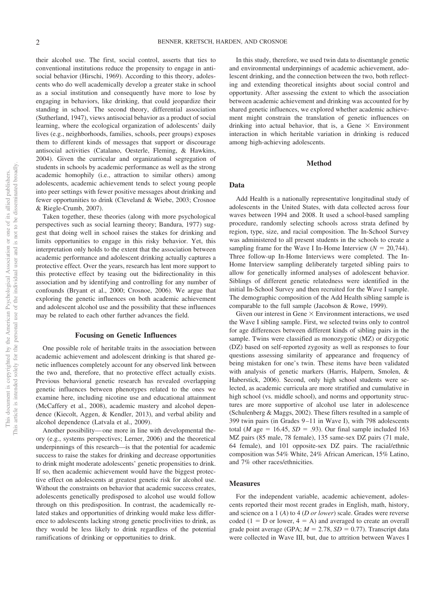their alcohol use. The first, social control, asserts that ties to conventional institutions reduce the propensity to engage in antisocial behavior (Hirschi, 1969). According to this theory, adolescents who do well academically develop a greater stake in school as a social institution and consequently have more to lose by engaging in behaviors, like drinking, that could jeopardize their standing in school. The second theory, differential association (Sutherland, 1947), views antisocial behavior as a product of social learning, where the ecological organization of adolescents' daily lives (e.g., neighborhoods, families, schools, peer groups) exposes them to different kinds of messages that support or discourage antisocial activities (Catalano, Oesterle, Fleming, & Hawkins, 2004). Given the curricular and organizational segregation of students in schools by academic performance as well as the strong academic homophily (i.e., attraction to similar others) among adolescents, academic achievement tends to select young people into peer settings with fewer positive messages about drinking and fewer opportunities to drink (Cleveland & Wiebe, 2003; Crosnoe & Riegle-Crumb, 2007).

Taken together, these theories (along with more psychological perspectives such as social learning theory; Bandura, 1977) suggest that doing well in school raises the stakes for drinking and limits opportunities to engage in this risky behavior. Yet, this interpretation only holds to the extent that the association between academic performance and adolescent drinking actually captures a protective effect. Over the years, research has lent more support to this protective effect by teasing out the bidirectionality in this association and by identifying and controlling for any number of confounds (Bryant et al., 2000; Crosnoe, 2006). We argue that exploring the genetic influences on both academic achievement and adolescent alcohol use and the possibility that these influences may be related to each other further advances the field.

#### **Focusing on Genetic Influences**

One possible role of heritable traits in the association between academic achievement and adolescent drinking is that shared genetic influences completely account for any observed link between the two and, therefore, that no protective effect actually exists. Previous behavioral genetic research has revealed overlapping genetic influences between phenotypes related to the ones we examine here, including nicotine use and educational attainment (McCaffery et al., 2008), academic mastery and alcohol dependence (Kiecolt, Aggen, & Kendler, 2013), and verbal ability and alcohol dependence (Latvala et al., 2009).

Another possibility— one more in line with developmental theory (e.g., systems perspectives; Lerner, 2006) and the theoretical underpinnings of this research—is that the potential for academic success to raise the stakes for drinking and decrease opportunities to drink might moderate adolescents' genetic propensities to drink. If so, then academic achievement would have the biggest protective effect on adolescents at greatest genetic risk for alcohol use. Without the constraints on behavior that academic success creates, adolescents genetically predisposed to alcohol use would follow through on this predisposition. In contrast, the academically related stakes and opportunities of drinking would make less difference to adolescents lacking strong genetic proclivities to drink, as they would be less likely to drink regardless of the potential ramifications of drinking or opportunities to drink.

In this study, therefore, we used twin data to disentangle genetic and environmental underpinnings of academic achievement, adolescent drinking, and the connection between the two, both reflecting and extending theoretical insights about social control and opportunity. After assessing the extent to which the association between academic achievement and drinking was accounted for by shared genetic influences, we explored whether academic achievement might constrain the translation of genetic influences on drinking into actual behavior, that is, a Gene  $\times$  Environment interaction in which heritable variation in drinking is reduced among high-achieving adolescents.

### **Method**

# **Data**

Add Health is a nationally representative longitudinal study of adolescents in the United States, with data collected across four waves between 1994 and 2008. It used a school-based sampling procedure, randomly selecting schools across strata defined by region, type, size, and racial composition. The In-School Survey was administered to all present students in the schools to create a sampling frame for the Wave I In-Home Interview  $(N = 20,744)$ . Three follow-up In-Home Interviews were completed. The In-Home Interview sampling deliberately targeted sibling pairs to allow for genetically informed analyses of adolescent behavior. Siblings of different genetic relatedness were identified in the initial In-School Survey and then recruited for the Wave I sample. The demographic composition of the Add Health sibling sample is comparable to the full sample (Jacobson & Rowe, 1999).

Given our interest in Gene  $\times$  Environment interactions, we used the Wave I sibling sample. First, we selected twins only to control for age differences between different kinds of sibling pairs in the sample. Twins were classified as monozygotic (MZ) or dizygotic (DZ) based on self-reported zygosity as well as responses to four questions assessing similarity of appearance and frequency of being mistaken for one's twin. These items have been validated with analysis of genetic markers (Harris, Halpern, Smolen, & Haberstick, 2006). Second, only high school students were selected, as academic curricula are more stratified and cumulative in high school (vs. middle school), and norms and opportunity structures are more supportive of alcohol use later in adolescence (Schulenberg & Maggs, 2002). These filters resulted in a sample of 399 twin pairs (in Grades 9 –11 in Wave I), with 798 adolescents total (*M* age = 16.45,  $SD = .93$ ). Our final sample included 163 MZ pairs (85 male, 78 female), 135 same-sex DZ pairs (71 male, 64 female), and 101 opposite-sex DZ pairs. The racial/ethnic composition was 54% White, 24% African American, 15% Latino, and 7% other races/ethnicities.

# **Measures**

For the independent variable, academic achievement, adolescents reported their most recent grades in English, math, history, and science ona1(*A*) to 4 (*D or lower*) scale. Grades were reverse coded  $(1 = D)$  or lower,  $4 = A$ ) and averaged to create an overall grade point average (GPA;  $M = 2.78$ ,  $SD = 0.77$ ). Transcript data were collected in Wave III, but, due to attrition between Waves I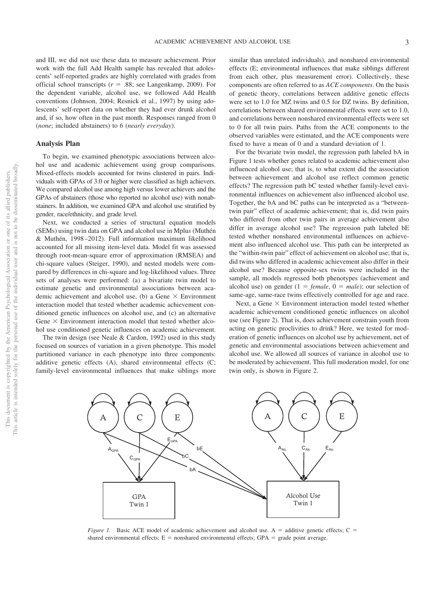and III, we did not use these data to measure achievement. Prior work with the full Add Health sample has revealed that adolescents' self-reported grades are highly correlated with grades from official school transcripts ( $r = .88$ ; see Langenkamp, 2009). For the dependent variable, alcohol use, we followed Add Health conventions (Johnson, 2004; Resnick et al., 1997) by using adolescents' self-report data on whether they had ever drunk alcohol and, if so, how often in the past month. Responses ranged from 0 (*none*; included abstainers) to 6 (*nearly everyday*).

## **Analysis Plan**

To begin, we examined phenotypic associations between alcohol use and academic achievement using group comparisons. Mixed-effects models accounted for twins clustered in pairs. Individuals with GPAs of 3.0 or higher were classified as high achievers. We compared alcohol use among high versus lower achievers and the GPAs of abstainers (those who reported no alcohol use) with nonabstainers. In addition, we examined GPA and alcohol use stratified by gender, race/ethnicity, and grade level.

Next, we conducted a series of structural equation models (SEMs) using twin data on GPA and alcohol use in Mplu*s* (Muthén & Muthén, 1998 –2012). Full information maximum likelihood accounted for all missing item-level data. Model fit was assessed through root-mean-square error of approximation (RMSEA) and chi-square values (Steiger, 1990), and nested models were compared by differences in chi-square and log-likelihood values. Three sets of analyses were performed: (a) a bivariate twin model to estimate genetic and environmental associations between academic achievement and alcohol use, (b) a Gene  $\times$  Environment interaction model that tested whether academic achievement conditioned genetic influences on alcohol use, and (c) an alternative Gene  $\times$  Environment interaction model that tested whether alcohol use conditioned genetic influences on academic achievement.

The twin design (see Neale & Cardon, 1992) used in this study focused on sources of variation in a given phenotype. This model partitioned variance in each phenotype into three components: additive genetic effects (A), shared environmental effects (C; family-level environmental influences that make siblings more

A ) ( C ) ( E

C

similar than unrelated individuals), and nonshared environmental effects (E; environmental influences that make siblings different from each other, plus measurement error). Collectively, these components are often referred to as *ACE components*. On the basis of genetic theory, correlations between additive genetic effects were set to 1.0 for MZ twins and 0.5 for DZ twins. By definition, correlations between shared environmental effects were set to 1.0, and correlations between nonshared environmental effects were set to 0 for all twin pairs. Paths from the ACE components to the observed variables were estimated, and the ACE components were fixed to have a mean of 0 and a standard deviation of 1.

For the bivariate twin model, the regression path labeled bA in Figure 1 tests whether genes related to academic achievement also influenced alcohol use; that is, to what extent did the association between achievement and alcohol use reflect common genetic effects? The regression path bC tested whether family-level environmental influences on achievement also influenced alcohol use. Together, the bA and bC paths can be interpreted as a "betweentwin pair" effect of academic achievement; that is, did twin pairs who differed from other twin pairs in average achievement also differ in average alcohol use? The regression path labeled bE tested whether nonshared environmental influences on achievement also influenced alcohol use. This path can be interpreted as the "within-twin pair" effect of achievement on alcohol use; that is, did twins who differed in academic achievement also differ in their alcohol use? Because opposite-sex twins were included in the sample, all models regressed both phenotypes (achievement and alcohol use) on gender  $(1 = female, 0 = male)$ ; our selection of same-age, same-race twins effectively controlled for age and race.

Next, a Gene  $\times$  Environment interaction model tested whether academic achievement conditioned genetic influences on alcohol use (see Figure 2). That is, does achievement constrain youth from acting on genetic proclivities to drink? Here, we tested for moderation of genetic influences on alcohol use by achievement, net of genetic and environmental associations between achievement and alcohol use. We allowed all sources of variance in alcohol use to be moderated by achievement. This full moderation model, for one twin only, is shown in Figure 2.

A ) ( C ) ( E



*Figure 1.* Basic ACE model of academic achievement and alcohol use. A = additive genetic effects; C = shared environmental effects;  $E =$  nonshared environmental effects; GPA = grade point average.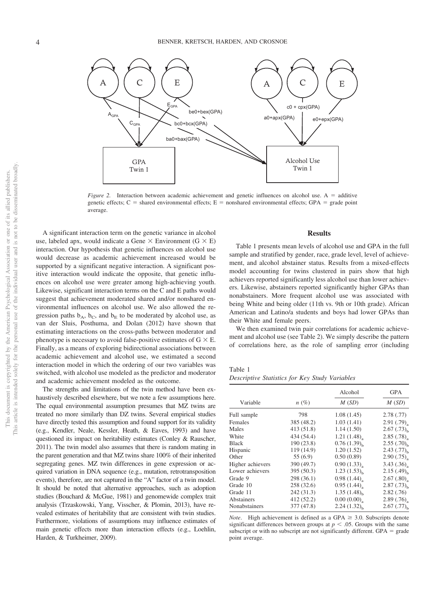

*Figure 2.* Interaction between academic achievement and genetic influences on alcohol use. A = additive genetic effects;  $C =$  shared environmental effects;  $E =$  nonshared environmental effects; GPA = grade point average.

A significant interaction term on the genetic variance in alcohol use, labeled apx, would indicate a Gene  $\times$  Environment (G  $\times$  E) interaction. Our hypothesis that genetic influences on alcohol use would decrease as academic achievement increased would be supported by a significant negative interaction. A significant positive interaction would indicate the opposite, that genetic influences on alcohol use were greater among high-achieving youth. Likewise, significant interaction terms on the C and E paths would suggest that achievement moderated shared and/or nonshared environmental influences on alcohol use. We also allowed the regression paths  $b_A$ ,  $b_C$ , and  $b_E$  to be moderated by alcohol use, as van der Sluis, Posthuma, and Dolan (2012) have shown that estimating interactions on the cross-paths between moderator and phenotype is necessary to avoid false-positive estimates of  $G \times E$ . Finally, as a means of exploring bidirectional associations between academic achievement and alcohol use, we estimated a second interaction model in which the ordering of our two variables was switched, with alcohol use modeled as the predictor and moderator and academic achievement modeled as the outcome.

The strengths and limitations of the twin method have been exhaustively described elsewhere, but we note a few assumptions here. The equal environmental assumption presumes that MZ twins are treated no more similarly than DZ twins. Several empirical studies have directly tested this assumption and found support for its validity (e.g., Kendler, Neale, Kessler, Heath, & Eaves, 1993) and have questioned its impact on heritability estimates (Conley & Rauscher, 2011). The twin model also assumes that there is random mating in the parent generation and that MZ twins share 100% of their inherited segregating genes. MZ twin differences in gene expression or acquired variation in DNA sequence (e.g., mutation, retrotransposition events), therefore, are not captured in the "A" factor of a twin model. It should be noted that alternative approaches, such as adoption studies (Bouchard & McGue, 1981) and genomewide complex trait analysis (Trzaskowski, Yang, Visscher, & Plomin, 2013), have revealed estimates of heritability that are consistent with twin studies. Furthermore, violations of assumptions may influence estimates of main genetic effects more than interaction effects (e.g., Loehlin, Harden, & Turkheimer, 2009).

## **Results**

Table 1 presents mean levels of alcohol use and GPA in the full sample and stratified by gender, race, grade level, level of achievement, and alcohol abstainer status. Results from a mixed-effects model accounting for twins clustered in pairs show that high achievers reported significantly less alcohol use than lower achievers. Likewise, abstainers reported significantly higher GPAs than nonabstainers. More frequent alcohol use was associated with being White and being older (11th vs. 9th or 10th grade). African American and Latino/a students and boys had lower GPAs than their White and female peers.

We then examined twin pair correlations for academic achievement and alcohol use (see Table 2). We simply describe the pattern of correlations here, as the role of sampling error (including

Table 1 *Descriptive Statistics for Key Study Variables*

|                  |            | Alcohol                   | <b>GPA</b>               |
|------------------|------------|---------------------------|--------------------------|
| Variable         | $n(\%)$    | M(SD)                     | M(SD)                    |
| Full sample      | 798        | 1.08(1.45)                | 2.78(.77)                |
| Females          | 385 (48.2) | 1.03(1.41)                | $2.91(.79)$ <sub>2</sub> |
| Males            | 413 (51.8) | 1.14(1.50)                | $2.67$ $(.73)_{h}$       |
| White            | 434 (54.4) | $1.21(1.48)$ <sub>2</sub> | $2.85(.78)_{a}$          |
| <b>Black</b>     | 190 (23.8) | $0.76(1.39)_{h}$          | $2.55(.70)_{h}$          |
| Hispanic         | 119 (14.9) | 1.20(1.52)                | $2.43$ $(.77)_{h}$       |
| Other            | 55(6.9)    | 0.50(0.89)                | $2.90(.75)_{a}$          |
| Higher achievers | 390 (49.7) | $0.90(1.33)$ <sub>2</sub> | $3.43(.36)$ <sub>2</sub> |
| Lower achievers  | 395 (50.3) | $1.23(1.53)_{h}$          | $2.15(.49)_{h}$          |
| Grade 9          | 298 (36.1) | $0.98(1.44)$ <sub>c</sub> | $2.67(.80)$ <sub>0</sub> |
| Grade 10         | 258 (32.6) | $0.95(1.44)$ <sub>2</sub> | $2.87(.73)_{h}$          |
| Grade 11         | 242 (31.3) | $1.35(1.48)_{h}$          | 2.82(.76)                |
| Abstainers       | 412(52.2)  | $0.00(0.00)$ <sub>2</sub> | $2.89(.76)_{\rm a}$      |
| Nonabstainers    | 377 (47.8) | $2.24(1.32)_{h}$          | $2.67$ $(.77)_{h}$       |
|                  |            |                           |                          |

*High achievement is defined as a GPA*  $\geq$  *3.0. Subscripts denote* significant differences between groups at  $p < .05$ . Groups with the same subscript or with no subscript are not significantly different.  $GPA = grade$ point average.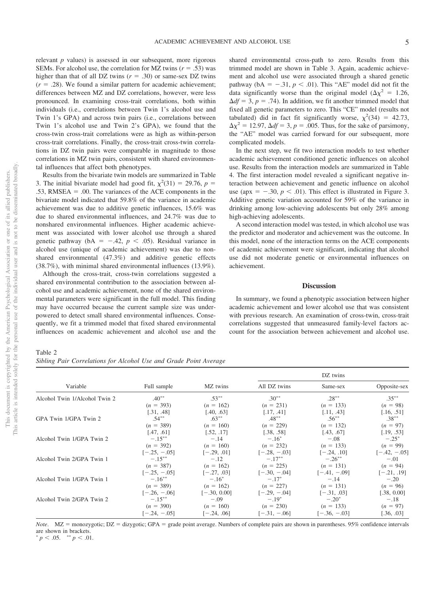relevant *p* values) is assessed in our subsequent, more rigorous SEMs. For alcohol use, the correlation for MZ twins  $(r = .53)$  was higher than that of all DZ twins  $(r = .30)$  or same-sex DZ twins  $(r = .28)$ . We found a similar pattern for academic achievement; differences between MZ and DZ correlations, however, were less pronounced. In examining cross-trait correlations, both within individuals (i.e., correlations between Twin 1's alcohol use and Twin 1's GPA) and across twin pairs (i.e., correlations between Twin 1's alcohol use and Twin 2's GPA), we found that the cross-twin cross-trait correlations were as high as within-person cross-trait correlations. Finally, the cross-trait cross-twin correlations in DZ twin pairs were comparable in magnitude to those correlations in MZ twin pairs, consistent with shared environmental influences that affect both phenotypes.

Results from the bivariate twin models are summarized in Table 3. The initial bivariate model had good fit,  $\chi^2(31) = 29.76$ ,  $p =$  $.53$ , RMSEA =  $.00$ . The variances of the ACE components in the bivariate model indicated that 59.8% of the variance in academic achievement was due to additive genetic influences, 15.6% was due to shared environmental influences, and 24.7% was due to nonshared environmental influences. Higher academic achievement was associated with lower alcohol use through a shared genetic pathway ( $bA = -.42$ ,  $p < .05$ ). Residual variance in alcohol use (unique of academic achievement) was due to nonshared environmental (47.3%) and additive genetic effects (38.7%), with minimal shared environmental influences (13.9%).

Although the cross-trait, cross-twin correlations suggested a shared environmental contribution to the association between alcohol use and academic achievement, none of the shared environmental parameters were significant in the full model. This finding may have occurred because the current sample size was underpowered to detect small shared environmental influences. Consequently, we fit a trimmed model that fixed shared environmental influences on academic achievement and alcohol use and the

shared environmental cross-path to zero. Results from this trimmed model are shown in Table 3. Again, academic achievement and alcohol use were associated through a shared genetic pathway ( $\beta A = -0.31$ ,  $p < 0.01$ ). This "AE" model did not fit the data significantly worse than the original model ( $\Delta \chi^2 = 1.26$ ,  $\Delta df = 3$ ,  $p = .74$ ). In addition, we fit another trimmed model that fixed all genetic parameters to zero. This "CE" model (results not tabulated) did in fact fit significantly worse,  $\chi^2(34) = 42.73$ ,  $\Delta \chi^2 = 12.97$ ,  $\Delta df = 3$ ,  $p = .005$ . Thus, for the sake of parsimony, the "AE" model was carried forward for our subsequent, more complicated models.

In the next step, we fit two interaction models to test whether academic achievement conditioned genetic influences on alcohol use. Results from the interaction models are summarized in Table 4. The first interaction model revealed a significant negative interaction between achievement and genetic influence on alcohol use (apx  $= -0.30, p \le 0.01$ ). This effect is illustrated in Figure 3. Additive genetic variation accounted for 59% of the variance in drinking among low-achieving adolescents but only 28% among high-achieving adolescents.

A second interaction model was tested, in which alcohol use was the predictor and moderator and achievement was the outcome. In this model, none of the interaction terms on the ACE components of academic achievement were significant, indicating that alcohol use did not moderate genetic or environmental influences on achievement.

#### **Discussion**

In summary, we found a phenotypic association between higher academic achievement and lower alcohol use that was consistent with previous research. An examination of cross-twin, cross-trait correlations suggested that unmeasured family-level factors account for the association between achievement and alcohol use.

# Table 2

*Sibling Pair Correlations for Alcohol Use and Grade Point Average*

| Variable                      |                | MZ twins       | DZ twins       |                |                |
|-------------------------------|----------------|----------------|----------------|----------------|----------------|
|                               | Full sample    |                | All DZ twins   | Same-sex       | Opposite-sex   |
| Alcohol Twin 1/Alcohol Twin 2 | $.40***$       | $.53***$       | $.30***$       | $.28***$       | $.35***$       |
|                               | $(n = 393)$    | $(n = 162)$    | $(n = 231)$    | $(n = 133)$    | $(n = 98)$     |
|                               | [.31, .48]     | [.40, .63]     | [.17, .41]     | [.11, .43]     | [.16, .51]     |
| GPA Twin 1/GPA Twin 2         | $.54***$       | $.63***$       | $.48***$       | $.56***$       | $.38***$       |
|                               | $(n = 389)$    | $(n = 160)$    | $(n = 229)$    | $(n = 132)$    | $(n = 97)$     |
|                               | [.47, .61]     | [.52, .17]     | [.38, .58]     | [.43, .67]     | [.19, .53]     |
| Alcohol Twin 1/GPA Twin 2     | $-.15***$      | $-.14$         | $-.16*$        | $-.08$         | $-.25^*$       |
|                               | $(n = 392)$    | $(n = 160)$    | $(n = 232)$    | $(n = 133)$    | $(n = 99)$     |
|                               | $[-.25, -.05]$ | $[-.29, .01]$  | $[-.28, -.03]$ | $[-.24, .10]$  | $[-.42, -.05]$ |
| Alcohol Twin 2/GPA Twin 1     | $-.15***$      | $-.12$         | $-.17***$      | $-.26***$      | $-.01$         |
|                               | $(n = 387)$    | $(n = 162)$    | $(n = 225)$    | $(n = 131)$    | $(n = 94)$     |
|                               | $[-.25, -.05]$ | $[-.27, .03]$  | $[-.30, -.04]$ | $[-.41, -.09]$ | $[-.21, .19]$  |
| Alcohol Twin 1/GPA Twin 1     | $-.16***$      | $-.16^*$       | $-.17*$        | $-.14$         | $-.20$         |
|                               | $(n = 389)$    | $(n = 162)$    | $(n = 227)$    | $(n = 131)$    | $(n = 96)$     |
|                               | $[-.26, -.06]$ | $[-.30, 0.00]$ | $[-.29, -.04]$ | $[-.31, .03]$  | [.38, 0.00]    |
| Alcohol Twin 2/GPA Twin 2     | $-.15***$      | $-.09$         | $-.19*$        | $-.20^*$       | $-.18$         |
|                               | $(n = 390)$    | $(n = 160)$    | $(n = 230)$    | $(n = 133)$    | $(n = 97)$     |
|                               | $[-.24, -.05]$ | $[-.24, .06]$  | $[-.31, -.06]$ | $[-.36, -.03]$ | [.36, .03]     |

*Note*. MZ = monozygotic; DZ = dizygotic; GPA = grade point average. Numbers of complete pairs are shown in parentheses. 95% confidence intervals are shown in brackets.

 $p < .05.$  \*\*  $p < .01.$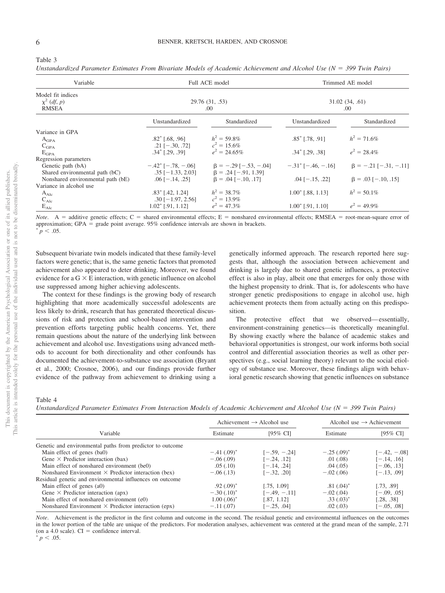Table 3

*Unstandardized Parameter Estimates From Bivariate Models of Academic Achievement and Alcohol Use (N* - *399 Twin Pairs)*

| Variable                                                                                                           | Full ACE model                                                                                                        |                                                                                   | Trimmed AE model                                                            |                                                                |  |
|--------------------------------------------------------------------------------------------------------------------|-----------------------------------------------------------------------------------------------------------------------|-----------------------------------------------------------------------------------|-----------------------------------------------------------------------------|----------------------------------------------------------------|--|
| Model fit indices<br>$\chi^2$ (df, p)<br><b>RMSEA</b>                                                              | 29.76 (31, .53)<br>.00.                                                                                               |                                                                                   | 31.02 (34, .61)<br>.00                                                      |                                                                |  |
|                                                                                                                    | Unstandardized                                                                                                        | Standardized                                                                      | Unstandardized                                                              | Standardized                                                   |  |
| Variance in GPA<br>$A_{\rm GPA}$<br>$C_{GPA}$<br>$E_{\rm GPA}$<br>Regression parameters<br>Genetic path (bA)       | $.82^{\circ}$ [.68, .96]<br>$.21$ [ $-.30, .72$ ]<br>$.34$ <sup>*</sup> [.29, .39]<br>$-.42^{\circ}$ [ $-.78, -.06$ ] | $h^2 = 59.8\%$<br>$c^2 = 15.6\%$<br>$e^2 = 24.65\%$<br>$\beta = -.29[-.53, -.04]$ | $.85^*$ [.78, .91]<br>$.34^{\circ}$ [.29, .38]<br>$-.31$ * [ $-.46, -.16$ ] | $h^2 = 71.6\%$<br>$e^2 = 28.4\%$<br>$\beta = -.21[-.31, -.11]$ |  |
| Shared environmental path (bC)<br>Nonshared environmental path (bE)<br>Variance in alcohol use<br>$A_{\text{Alc}}$ | $.35$ [-1.33, 2.03]<br>$.06$ [ $-.14, .25$ ]<br>$.83^{\circ}$ [.42, 1.24]                                             | $\beta = .24[-.91, 1.39]$<br>$\beta = .04$ [-.10, .17]<br>$h^2 = 38.7\%$          | $.04$ [ $-.15, .22$ ]<br>$1.00^*$ [.88, 1.13]                               | $\beta = .03$ [-.10, .15]<br>$h^2 = 50.1\%$                    |  |
| $C_{Alc}$<br>$\rm E_{Alc}$                                                                                         | $.30[-1.97, 2.56]$<br>$1.02^*$ [.91, 1.12]                                                                            | $c^2 = 13.9\%$<br>$e^2 = 47.3\%$                                                  | $1.00^*$ [.91, 1.10]                                                        | $e^2 = 49.9\%$                                                 |  |

*Note*. A = additive genetic effects; C = shared environmental effects; E = nonshared environmental effects; RMSEA = root-mean-square error of approximation; GPA = grade point average.  $95\%$  confidence intervals are shown in brackets.  $\dot{p}$   $< .05$ .

Subsequent bivariate twin models indicated that these family-level factors were genetic; that is, the same genetic factors that promoted achievement also appeared to deter drinking. Moreover, we found evidence for a  $G \times E$  interaction, with genetic influence on alcohol use suppressed among higher achieving adolescents.

The context for these findings is the growing body of research highlighting that more academically successful adolescents are less likely to drink, research that has generated theoretical discussions of risk and protection and school-based intervention and prevention efforts targeting public health concerns. Yet, there remain questions about the nature of the underlying link between achievement and alcohol use. Investigations using advanced methods to account for both directionality and other confounds has documented the achievement-to-substance use association (Bryant et al., 2000; Crosnoe, 2006), and our findings provide further evidence of the pathway from achievement to drinking using a genetically informed approach. The research reported here suggests that, although the association between achievement and drinking is largely due to shared genetic influences, a protective effect is also in play, albeit one that emerges for only those with the highest propensity to drink. That is, for adolescents who have stronger genetic predispositions to engage in alcohol use, high achievement protects them from actually acting on this predisposition.

The protective effect that we observed— essentially, environment-constraining genetics—is theoretically meaningful. By showing exactly where the balance of academic stakes and behavioral opportunities is strongest, our work informs both social control and differential association theories as well as other perspectives (e.g., social learning theory) relevant to the social etiology of substance use. Moreover, these findings align with behavioral genetic research showing that genetic influences on substance

Table 4

*Unstandardized Parameter Estimates From Interaction Models of Academic Achievement and Alcohol Use (N* - *399 Twin Pairs)*

|                                                            | Achievement $\rightarrow$ Alcohol use |                | Alcohol use $\rightarrow$ Achievement |                     |
|------------------------------------------------------------|---------------------------------------|----------------|---------------------------------------|---------------------|
| Variable                                                   | Estimate                              | [95% CI]       | Estimate                              | $[95\% \text{ CI}]$ |
| Genetic and environmental paths from predictor to outcome  |                                       |                |                                       |                     |
| Main effect of genes (ba0)                                 | $-.41(.09)^*$                         | $[-.59, -.24]$ | $-.25(.09)^*$                         | $[-.42, -.08]$      |
| Gene $\times$ Predictor interaction (bax)                  | $-.06(.09)$                           | $[-.24, .12]$  | .01(.08)                              | $[-.14, .16]$       |
| Main effect of nonshared environment (be0)                 | .05(0.10)                             | $[-.14, .24]$  | .04(.05)                              | $[-.06, .13]$       |
| Nonshared Environment $\times$ Predictor interaction (bex) | $-.06(.13)$                           | $[-.32, .20]$  | $-.02(.06)$                           | $[-.13, .09]$       |
| Residual genetic and environmental influences on outcome   |                                       |                |                                       |                     |
| Main effect of genes (a0)                                  | $.92$ $(.09)^*$                       | [.75, 1.09]    | $.81(.04)^*$                          | [.73, .89]          |
| Gene $\times$ Predictor interaction (apx)                  | $-.30(.10)*$                          | $[-.49, -.11]$ | $-.02(.04)$                           | $[-.09, .05]$       |
| Main effect of nonshared environment (e0)                  | $1.00(.06)^*$                         | [.87, 1.12]    | $.33(.03)^*$                          | [.28, .38]          |
| Nonshared Environment $\times$ Predictor interaction (epx) | $-.11(.07)$                           | $[-.25, .04]$  | .02(0.03)                             | $[-.05, .08]$       |

*Note*. Achievement is the predictor in the first column and outcome in the second. The residual genetic and environmental influences on the outcomes in the lower portion of the table are unique of the predictors. For moderation analyses, achievement was centered at the grand mean of the sample, 2.71 (on a 4.0 scale). CI = confidence interval.<br>  $\binom{p}{k}$  < .05.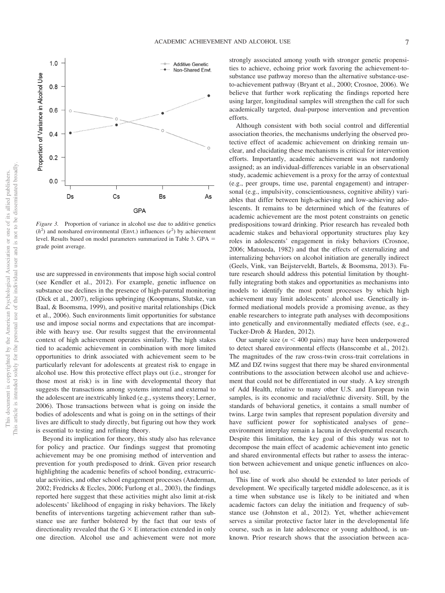



*Figure 3.* Proportion of variance in alcohol use due to additive genetics  $(h<sup>2</sup>)$  and nonshared environmental (Envt.) influences  $(e<sup>2</sup>)$  by achievement level. Results based on model parameters summarized in Table 3. GPA = grade point average.

use are suppressed in environments that impose high social control (see Kendler et al., 2012). For example, genetic influence on substance use declines in the presence of high-parental monitoring (Dick et al., 2007), religious upbringing (Koopmans, Slutske, van Baal, & Boomsma, 1999), and positive marital relationships (Dick et al., 2006). Such environments limit opportunities for substance use and impose social norms and expectations that are incompatible with heavy use. Our results suggest that the environmental context of high achievement operates similarly. The high stakes tied to academic achievement in combination with more limited opportunities to drink associated with achievement seem to be particularly relevant for adolescents at greatest risk to engage in alcohol use. How this protective effect plays out (i.e., stronger for those most at risk) is in line with developmental theory that suggests the transactions among systems internal and external to the adolescent are inextricably linked (e.g., systems theory; Lerner, 2006). Those transactions between what is going on inside the bodies of adolescents and what is going on in the settings of their lives are difficult to study directly, but figuring out how they work is essential to testing and refining theory.

Beyond its implication for theory, this study also has relevance for policy and practice. Our findings suggest that promoting achievement may be one promising method of intervention and prevention for youth predisposed to drink. Given prior research highlighting the academic benefits of school bonding, extracurricular activities, and other school engagement processes (Anderman, 2002; Fredricks & Eccles, 2006; Furlong et al., 2003), the findings reported here suggest that these activities might also limit at-risk adolescents' likelihood of engaging in risky behaviors. The likely benefits of interventions targeting achievement rather than substance use are further bolstered by the fact that our tests of directionality revealed that the  $G \times E$  interaction extended in only one direction. Alcohol use and achievement were not more

strongly associated among youth with stronger genetic propensities to achieve, echoing prior work favoring the achievement-tosubstance use pathway moreso than the alternative substance-useto-achievement pathway (Bryant et al., 2000; Crosnoe, 2006). We believe that further work replicating the findings reported here using larger, longitudinal samples will strengthen the call for such academically targeted, dual-purpose intervention and prevention efforts.

Although consistent with both social control and differential association theories, the mechanisms underlying the observed protective effect of academic achievement on drinking remain unclear, and elucidating these mechanisms is critical for intervention efforts. Importantly, academic achievement was not randomly assigned; as an individual-differences variable in an observational study, academic achievement is a proxy for the array of contextual (e.g., peer groups, time use, parental engagement) and intrapersonal (e.g., impulsivity, conscientiousness, cognitive ability) variables that differ between high-achieving and low-achieving adolescents. It remains to be determined which of the features of academic achievement are the most potent constraints on genetic predispositions toward drinking. Prior research has revealed both academic stakes and behavioral opportunity structures play key roles in adolescents' engagement in risky behaviors (Crosnoe, 2006; Matsueda, 1982) and that the effects of externalizing and internalizing behaviors on alcohol initiation are generally indirect (Geels, Vink, van Beijsterveldt, Bartels, & Boomsma, 2013). Future research should address this potential limitation by thoughtfully integrating both stakes and opportunities as mechanisms into models to identify the most potent processes by which high achievement may limit adolescents' alcohol use. Genetically informed mediational models provide a promising avenue, as they enable researchers to integrate path analyses with decompositions into genetically and environmentally mediated effects (see, e.g., Tucker-Drob & Harden, 2012).

Our sample size  $(n \leq 400 \text{ pairs})$  may have been underpowered to detect shared environmental effects (Hanscombe et al., 2012). The magnitudes of the raw cross-twin cross-trait correlations in MZ and DZ twins suggest that there may be shared environmental contributions to the association between alcohol use and achievement that could not be differentiated in our study. A key strength of Add Health, relative to many other U.S. and European twin samples, is its economic and racial/ethnic diversity. Still, by the standards of behavioral genetics, it contains a small number of twins. Large twin samples that represent population diversity and have sufficient power for sophisticated analyses of gene– environment interplay remain a lacuna in developmental research. Despite this limitation, the key goal of this study was not to decompose the main effect of academic achievement into genetic and shared environmental effects but rather to assess the interaction between achievement and unique genetic influences on alcohol use.

This line of work also should be extended to later periods of development. We specifically targeted middle adolescence, as it is a time when substance use is likely to be initiated and when academic factors can delay the initiation and frequency of substance use (Johnston et al., 2012). Yet, whether achievement serves a similar protective factor later in the developmental life course, such as in late adolescence or young adulthood, is unknown. Prior research shows that the association between aca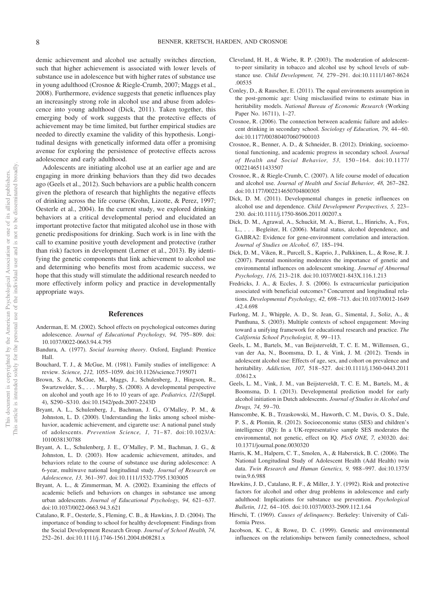demic achievement and alcohol use actually switches direction, such that higher achievement is associated with lower levels of substance use in adolescence but with higher rates of substance use in young adulthood (Crosnoe & Riegle-Crumb, 2007; Maggs et al., 2008). Furthermore, evidence suggests that genetic influences play an increasingly strong role in alcohol use and abuse from adolescence into young adulthood (Dick, 2011). Taken together, this emerging body of work suggests that the protective effects of achievement may be time limited, but further empirical studies are needed to directly examine the validity of this hypothesis. Longitudinal designs with genetically informed data offer a promising avenue for exploring the persistence of protective effects across adolescence and early adulthood.

Adolescents are initiating alcohol use at an earlier age and are engaging in more drinking behaviors than they did two decades ago (Geels et al., 2012). Such behaviors are a public health concern given the plethora of research that highlights the negative effects of drinking across the life course (Krohn, Lizotte, & Perez, 1997; Oesterle et al., 2004). In the current study, we explored drinking behaviors at a critical developmental period and elucidated an important protective factor that mitigated alcohol use in those with genetic predispositions for drinking. Such work is in line with the call to examine positive youth development and protective (rather than risk) factors in development (Lerner et al., 2013). By identifying the genetic components that link achievement to alcohol use and determining who benefits most from academic success, we hope that this study will stimulate the additional research needed to more effectively inform policy and practice in developmentally appropriate ways.

#### **References**

- Anderman, E. M. (2002). School effects on psychological outcomes during adolescence. *Journal of Educational Psychology, 94,* 795– 809. doi: 10.1037/0022-0663.94.4.795
- Bandura, A. (1977). *Social learning theory*. Oxford, England: Prentice Hall.
- Bouchard, T. J., & McGue, M. (1981). Family studies of intelligence: A review. *Science, 212,* 1055–1059. doi:10.1126/science.7195071
- Brown, S. A., McGue, M., Maggs, J., Schulenberg, J., Hingson, R., Swartzwelder, S.,... Murphy, S. (2008). A developmental perspective on alcohol and youth age 16 to 10 years of age. *Pediatrics, 121*(Suppl. 4), S290 –S310. doi:10.1542/peds.2007-2243D
- Bryant, A. L., Schulenberg, J., Bachman, J. G., O'Malley, P. M., & Johnston, L. D. (2000). Understanding the links among school misbehavior, academic achievement, and cigarette use: A national panel study of adolescents. *Prevention Science, 1,* 71– 87. doi:10.1023/A: 1010038130788
- Bryant, A. L., Schulenberg, J. E., O'Malley, P. M., Bachman, J. G., & Johnston, L. D. (2003). How academic achievement, attitudes, and behaviors relate to the course of substance use during adolescence: A 6-year, multiwave national longitudinal study. *Journal of Research on Adolescence, 13,* 361–397. doi:10.1111/1532-7795.1303005
- Bryant, A. L., & Zimmerman, M. A. (2002). Examining the effects of academic beliefs and behaviors on changes in substance use among urban adolescents. *Journal of Educational Psychology*, 94, 621–637. doi:10.1037/0022-0663.94.3.621
- Catalano, R. F., Oesterle, S., Fleming, C. B., & Hawkins, J. D. (2004). The importance of bonding to school for healthy development: Findings from the Social Development Research Group. *Journal of School Health, 74,* 252–261. doi:10.1111/j.1746-1561.2004.tb08281.x
- Cleveland, H. H., & Wiebe, R. P. (2003). The moderation of adolescentto-peer similarity in tobacco and alcohol use by school levels of substance use. *Child Development, 74,* 279 –291. doi:10.1111/1467-8624 .00535
- Conley, D., & Rauscher, E. (2011). The equal environments assumption in the post-genomic age: Using misclassified twins to estimate bias in heritability models. *National Bureau of Economic Research* (Working Paper No. 16711), 1–27.
- Crosnoe, R. (2006). The connection between academic failure and adolescent drinking in secondary school. *Sociology of Education, 79,* 44 – 60. doi:10.1177/003804070607900103
- Crosnoe, R., Benner, A. D., & Schneider, B. (2012). Drinking, socioemotional functioning, and academic progress in secondary school. *Journal of Health and Social Behavior, 53,* 150 –164. doi:10.1177/ 0022146511433507
- Crosnoe, R., & Riegle-Crumb, C. (2007). A life course model of education and alcohol use. *Journal of Health and Social Behavior, 48,* 267–282. doi:10.1177/002214650704800305
- Dick, D. M. (2011). Developmental changes in genetic influences on alcohol use and dependence. *Child Development Perspectives, 5,* 223– 230. doi:10.1111/j.1750-8606.2011.00207.x
- Dick, D. M., Agrawal, A., Schuckit, M. A., Bierut, L., Hinrichs, A., Fox, L., . . . Begleiter, H. (2006). Marital status, alcohol dependence, and GABRA2: Evidence for gene-environment correlation and interaction. *Journal of Studies on Alcohol, 67,* 185–194.
- Dick, D. M., Viken, R., Purcell, S., Kaprio, J., Pulkkinen, L., & Rose, R. J. (2007). Parental monitoring moderates the importance of genetic and environmental influences on adolescent smoking. *Journal of Abnormal Psychology, 116,* 213–218. doi:10.1037/0021-843X.116.1.213
- Fredricks, J. A., & Eccles, J. S. (2006). Is extracurricular participation associated with beneficial outcomes? Concurrent and longitudinal relations. *Developmental Psychology, 42,* 698 –713. doi:10.1037/0012-1649 .42.4.698
- Furlong, M. J., Whipple, A. D., St. Jean, G., Simental, J., Soliz, A., & Punthuna, S. (2003). Multiple contexts of school engagement: Moving toward a unifying framework for educational research and practice. *The California School Psychologist, 8,* 99 –113.
- Geels, L. M., Bartels, M., van Beijsterveldt, T. C. E. M., Willemsen, G., van der Aa, N., Boomsma, D. I., & Vink, J. M. (2012). Trends in adolescent alcohol use: Effects of age, sex, and cohort on prevalence and heritability. *Addiction, 107,* 518 –527. doi:10.1111/j.1360-0443.2011 .03612.x
- Geels, L. M., Vink, J. M., van Beijsterveldt, T. C. E. M., Bartels, M., & Boomsma, D. I. (2013). Developmental prediction model for early alcohol initiation in Dutch adolescents. *Journal of Studies in Alcohol and Drugs, 74,* 59 –70.
- Hanscombe, K. B., Trzaskowski, M., Haworth, C. M., Davis, O. S., Dale, P. S., & Plomin, R. (2012). Socioeconomic status (SES) and children's intelligence (IQ): In a UK-representative sample SES moderates the environmental, not genetic, effect on IQ. *PloS ONE, 7,* e30320. doi: 10.1371/journal.pone.0030320
- Harris, K. M., Halpern, C. T., Smolen, A., & Haberstick, B. C. (2006). The National Longitudinal Study of Adolescent Health (Add Health) twin data. *Twin Research and Human Genetics, 9,* 988 –997. doi:10.1375/ twin.9.6.988
- Hawkins, J. D., Catalano, R. F., & Miller, J. Y. (1992). Risk and protective factors for alcohol and other drug problems in adolescence and early adulthood: Implications for substance use prevention. *Psychological Bulletin, 112,* 64 –105. doi:10.1037/0033-2909.112.1.64
- Hirschi, T. (1969). *Causes of delinquency*. Berkeley: University of California Press.
- Jacobson, K. C., & Rowe, D. C. (1999). Genetic and environmental influences on the relationships between family connectedness, school